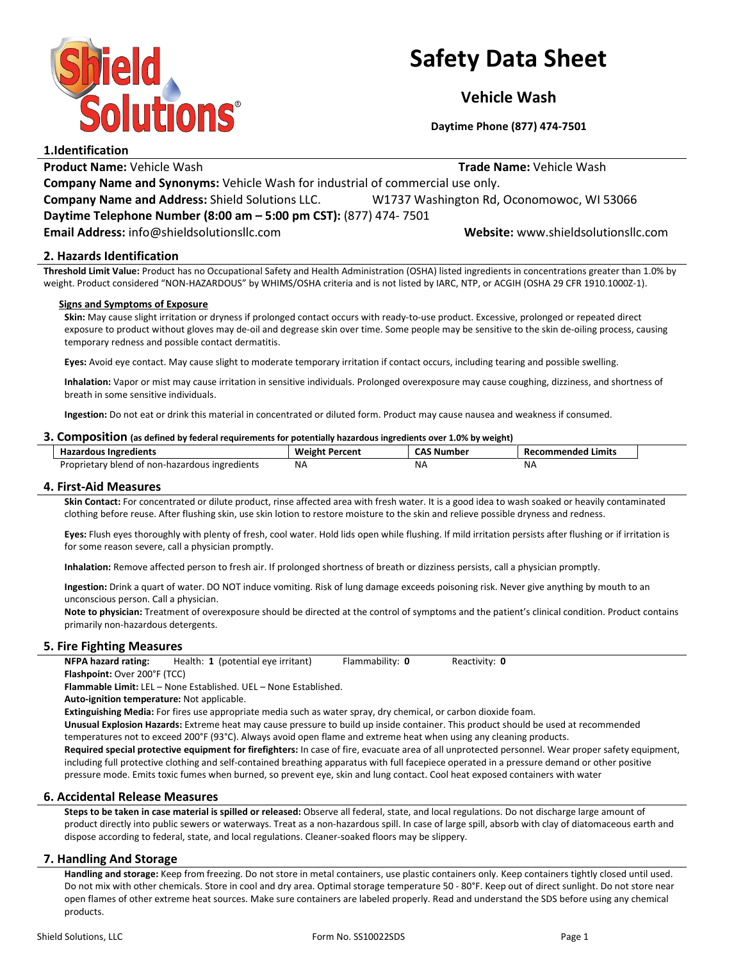

# Safety Data Sheet

Vehicle Wash

Daytime Phone (877) 474-7501

1.Identification **Product Name:** Vehicle Wash Trade Name: Vehicle Wash Trade Name: Vehicle Wash Company Name and Synonyms: Vehicle Wash for industrial of commercial use only. Company Name and Address: Shield Solutions LLC. W1737 Washington Rd, Oconomowoc, WI 53066 Daytime Telephone Number (8:00 am – 5:00 pm CST): (877) 474- 7501 Email Address: info@shieldsolutionsllc.com Website: www.shieldsolutionsllc.com

# 2. Hazards Identification

Threshold Limit Value: Product has no Occupational Safety and Health Administration (OSHA) listed ingredients in concentrations greater than 1.0% by weight. Product considered "NON-HAZARDOUS" by WHIMS/OSHA criteria and is not listed by IARC, NTP, or ACGIH (OSHA 29 CFR 1910.1000Z-1).

#### Signs and Symptoms of Exposure

Skin: May cause slight irritation or dryness if prolonged contact occurs with ready-to-use product. Excessive, prolonged or repeated direct exposure to product without gloves may de-oil and degrease skin over time. Some people may be sensitive to the skin de-oiling process, causing temporary redness and possible contact dermatitis.

Eyes: Avoid eye contact. May cause slight to moderate temporary irritation if contact occurs, including tearing and possible swelling.

Inhalation: Vapor or mist may cause irritation in sensitive individuals. Prolonged overexposure may cause coughing, dizziness, and shortness of breath in some sensitive individuals.

Ingestion: Do not eat or drink this material in concentrated or diluted form. Product may cause nausea and weakness if consumed.

#### 3. Composition (as defined by federal requirements for potentially hazardous ingredients over 1.0% by weight)

| <b>Hazardous Ingredients</b>                   | <b>Weight Percent</b> | <b>CAS Number</b> | Recommended Limits |
|------------------------------------------------|-----------------------|-------------------|--------------------|
| Proprietary blend of non-hazardous ingredients | NA.                   | ΝA                | NA                 |

#### 4. First-Aid Measures

Skin Contact: For concentrated or dilute product, rinse affected area with fresh water. It is a good idea to wash soaked or heavily contaminated clothing before reuse. After flushing skin, use skin lotion to restore moisture to the skin and relieve possible dryness and redness.

Eyes: Flush eyes thoroughly with plenty of fresh, cool water. Hold lids open while flushing. If mild irritation persists after flushing or if irritation is for some reason severe, call a physician promptly.

Inhalation: Remove affected person to fresh air. If prolonged shortness of breath or dizziness persists, call a physician promptly.

Ingestion: Drink a quart of water. DO NOT induce vomiting. Risk of lung damage exceeds poisoning risk. Never give anything by mouth to an unconscious person. Call a physician.

Note to physician: Treatment of overexposure should be directed at the control of symptoms and the patient's clinical condition. Product contains primarily non-hazardous detergents.

# 5. Fire Fighting Measures

NFPA hazard rating: Health: 1 (potential eye irritant) Flammability: 0 Reactivity: 0 Flashpoint: Over 200°F (TCC)

Flammable Limit: LEL – None Established. UEL – None Established.

Auto-ignition temperature: Not applicable.

Extinguishing Media: For fires use appropriate media such as water spray, dry chemical, or carbon dioxide foam.

Unusual Explosion Hazards: Extreme heat may cause pressure to build up inside container. This product should be used at recommended temperatures not to exceed 200°F (93°C). Always avoid open flame and extreme heat when using any cleaning products.

Required special protective equipment for firefighters: In case of fire, evacuate area of all unprotected personnel. Wear proper safety equipment, including full protective clothing and self-contained breathing apparatus with full facepiece operated in a pressure demand or other positive pressure mode. Emits toxic fumes when burned, so prevent eye, skin and lung contact. Cool heat exposed containers with water

# 6. Accidental Release Measures

Steps to be taken in case material is spilled or released: Observe all federal, state, and local regulations. Do not discharge large amount of product directly into public sewers or waterways. Treat as a non-hazardous spill. In case of large spill, absorb with clay of diatomaceous earth and dispose according to federal, state, and local regulations. Cleaner-soaked floors may be slippery.

# 7. Handling And Storage

Handling and storage: Keep from freezing. Do not store in metal containers, use plastic containers only. Keep containers tightly closed until used. Do not mix with other chemicals. Store in cool and dry area. Optimal storage temperature 50 - 80°F. Keep out of direct sunlight. Do not store near open flames of other extreme heat sources. Make sure containers are labeled properly. Read and understand the SDS before using any chemical products.